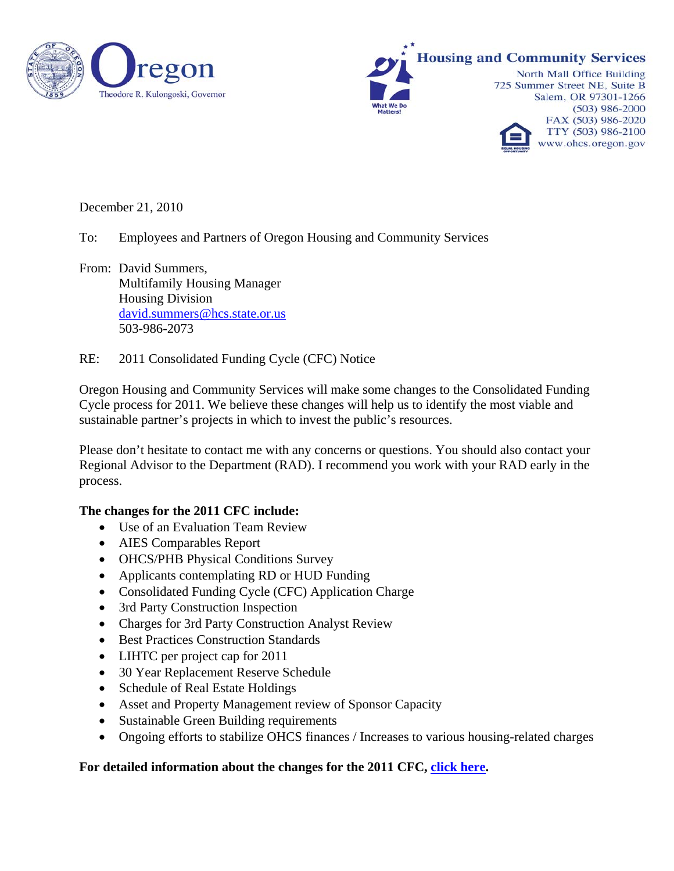



December 21, 2010

To: Employees and Partners of Oregon Housing and Community Services

From: David Summers, Multifamily Housing Manager Housing Division [david.summers@hcs.state.or.us](mailto:david.summers@hcs.state.or.us) 503-986-2073

RE: 2011 Consolidated Funding Cycle (CFC) Notice

Oregon Housing and Community Services will make some changes to the Consolidated Funding Cycle process for 2011. We believe these changes will help us to identify the most viable and sustainable partner's projects in which to invest the public's resources.

Please don't hesitate to contact me with any concerns or questions. You should also contact your Regional Advisor to the Department (RAD). I recommend you work with your RAD early in the process.

## **The changes for the 2011 CFC include:**

- Use of an Evaluation Team Review
- AIES Comparables Report
- OHCS/PHB Physical Conditions Survey
- Applicants contemplating RD or HUD Funding
- Consolidated Funding Cycle (CFC) Application Charge
- 3rd Party Construction Inspection
- Charges for 3rd Party Construction Analyst Review
- Best Practices Construction Standards
- LIHTC per project cap for 2011
- 30 Year Replacement Reserve Schedule
- Schedule of Real Estate Holdings
- Asset and Property Management review of Sponsor Capacity
- Sustainable Green Building requirements
- Ongoing efforts to stabilize OHCS finances / Increases to various housing-related charges

## **For detailed information about the changes for the 2011 CFC, [click here](http://www.ohcs.oregon.gov/OHCS/HD/HRS/pdfs/2010/12_21_10_Changes_for_2011_CFC.pdf).**